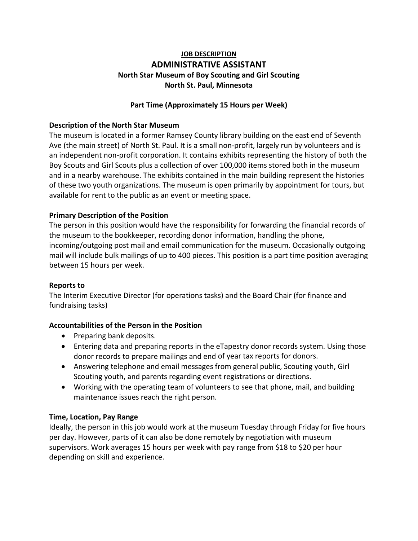# **JOB DESCRIPTION ADMINISTRATIVE ASSISTANT North Star Museum of Boy Scouting and Girl Scouting North St. Paul, Minnesota**

## **Part Time (Approximately 15 Hours per Week)**

## **Description of the North Star Museum**

The museum is located in a former Ramsey County library building on the east end of Seventh Ave (the main street) of North St. Paul. It is a small non‐profit, largely run by volunteers and is an independent non‐profit corporation. It contains exhibits representing the history of both the Boy Scouts and Girl Scouts plus a collection of over 100,000 items stored both in the museum and in a nearby warehouse. The exhibits contained in the main building represent the histories of these two youth organizations. The museum is open primarily by appointment for tours, but available for rent to the public as an event or meeting space.

## **Primary Description of the Position**

The person in this position would have the responsibility for forwarding the financial records of the museum to the bookkeeper, recording donor information, handling the phone, incoming/outgoing post mail and email communication for the museum. Occasionally outgoing mail will include bulk mailings of up to 400 pieces. This position is a part time position averaging between 15 hours per week.

#### **Reports to**

The Interim Executive Director (for operations tasks) and the Board Chair (for finance and fundraising tasks)

## **Accountabilities of the Person in the Position**

- Preparing bank deposits.
- Entering data and preparing reports in the eTapestry donor records system. Using those donor records to prepare mailings and end of year tax reports for donors.
- Answering telephone and email messages from general public, Scouting youth, Girl Scouting youth, and parents regarding event registrations or directions.
- Working with the operating team of volunteers to see that phone, mail, and building maintenance issues reach the right person.

#### **Time, Location, Pay Range**

Ideally, the person in this job would work at the museum Tuesday through Friday for five hours per day. However, parts of it can also be done remotely by negotiation with museum supervisors. Work averages 15 hours per week with pay range from \$18 to \$20 per hour depending on skill and experience.